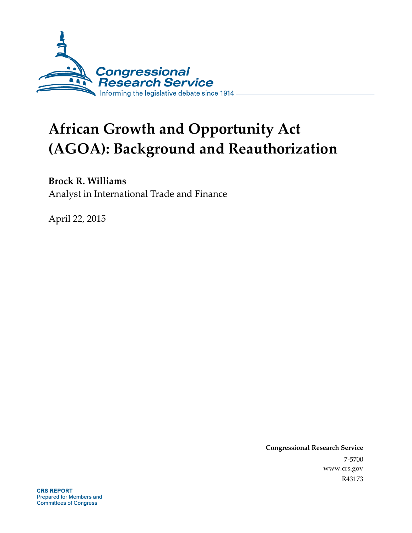

# **African Growth and Opportunity Act (AGOA): Background and Reauthorization**

## **Brock R. Williams**

Analyst in International Trade and Finance

April 22, 2015

**Congressional Research Service**  7-5700 www.crs.gov R43173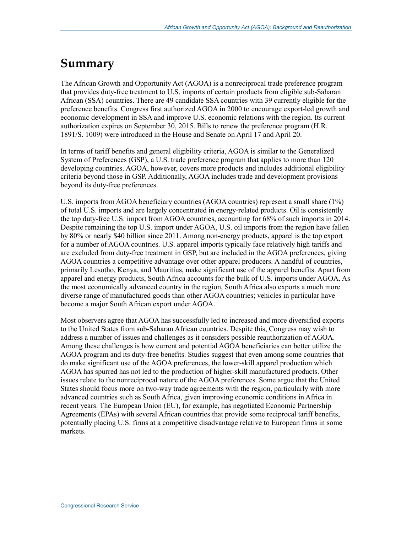# **Summary**

The African Growth and Opportunity Act (AGOA) is a nonreciprocal trade preference program that provides duty-free treatment to U.S. imports of certain products from eligible sub-Saharan African (SSA) countries. There are 49 candidate SSA countries with 39 currently eligible for the preference benefits. Congress first authorized AGOA in 2000 to encourage export-led growth and economic development in SSA and improve U.S. economic relations with the region. Its current authorization expires on September 30, 2015. Bills to renew the preference program (H.R. 1891/S. 1009) were introduced in the House and Senate on April 17 and April 20.

In terms of tariff benefits and general eligibility criteria, AGOA is similar to the Generalized System of Preferences (GSP), a U.S. trade preference program that applies to more than 120 developing countries. AGOA, however, covers more products and includes additional eligibility criteria beyond those in GSP. Additionally, AGOA includes trade and development provisions beyond its duty-free preferences.

U.S. imports from AGOA beneficiary countries (AGOA countries) represent a small share (1%) of total U.S. imports and are largely concentrated in energy-related products. Oil is consistently the top duty-free U.S. import from AGOA countries, accounting for 68% of such imports in 2014. Despite remaining the top U.S. import under AGOA, U.S. oil imports from the region have fallen by 80% or nearly \$40 billion since 2011. Among non-energy products, apparel is the top export for a number of AGOA countries. U.S. apparel imports typically face relatively high tariffs and are excluded from duty-free treatment in GSP, but are included in the AGOA preferences, giving AGOA countries a competitive advantage over other apparel producers. A handful of countries, primarily Lesotho, Kenya, and Mauritius, make significant use of the apparel benefits. Apart from apparel and energy products, South Africa accounts for the bulk of U.S. imports under AGOA. As the most economically advanced country in the region, South Africa also exports a much more diverse range of manufactured goods than other AGOA countries; vehicles in particular have become a major South African export under AGOA.

Most observers agree that AGOA has successfully led to increased and more diversified exports to the United States from sub-Saharan African countries. Despite this, Congress may wish to address a number of issues and challenges as it considers possible reauthorization of AGOA. Among these challenges is how current and potential AGOA beneficiaries can better utilize the AGOA program and its duty-free benefits. Studies suggest that even among some countries that do make significant use of the AGOA preferences, the lower-skill apparel production which AGOA has spurred has not led to the production of higher-skill manufactured products. Other issues relate to the nonreciprocal nature of the AGOA preferences. Some argue that the United States should focus more on two-way trade agreements with the region, particularly with more advanced countries such as South Africa, given improving economic conditions in Africa in recent years. The European Union (EU), for example, has negotiated Economic Partnership Agreements (EPAs) with several African countries that provide some reciprocal tariff benefits, potentially placing U.S. firms at a competitive disadvantage relative to European firms in some markets.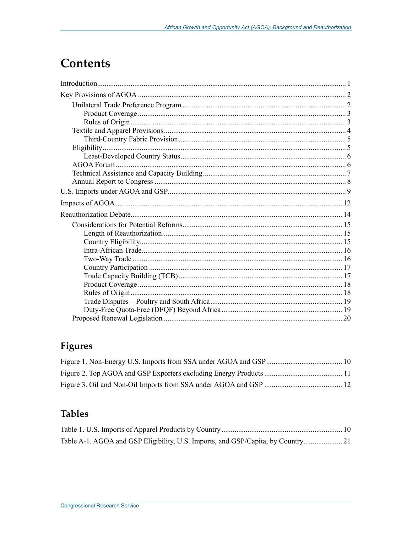# **Contents**

# Figures

# **Tables**

| Table A-1. AGOA and GSP Eligibility, U.S. Imports, and GSP/Capita, by Country21 |  |
|---------------------------------------------------------------------------------|--|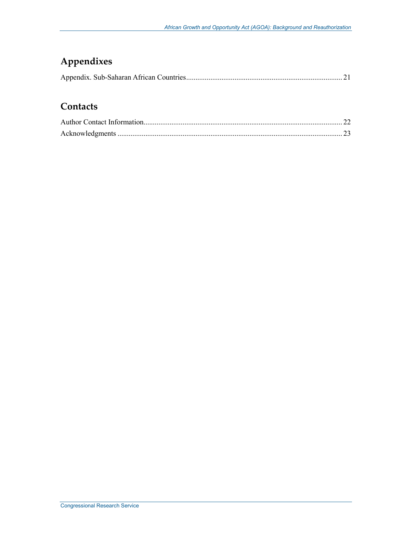# **Appendixes**

|--|--|--|

## **Contacts**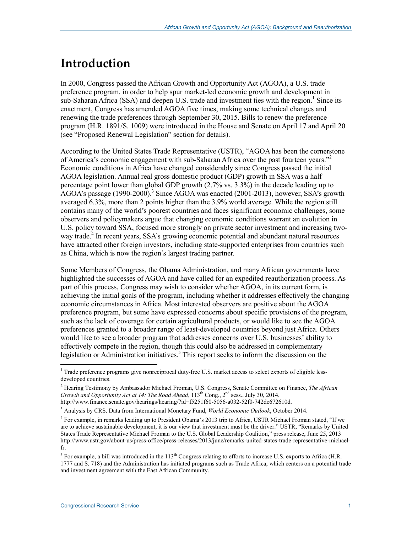# **Introduction**

In 2000, Congress passed the African Growth and Opportunity Act (AGOA), a U.S. trade preference program, in order to help spur market-led economic growth and development in  $\sinh$ -Saharan Africa (SSA) and deepen U.S. trade and investment ties with the region.<sup>1</sup> Since its enactment, Congress has amended AGOA five times, making some technical changes and renewing the trade preferences through September 30, 2015. Bills to renew the preference program (H.R. 1891/S. 1009) were introduced in the House and Senate on April 17 and April 20 (see "Proposed Renewal Legislation" section for details).

According to the United States Trade Representative (USTR), "AGOA has been the cornerstone of America's economic engagement with sub-Saharan Africa over the past fourteen years."2 Economic conditions in Africa have changed considerably since Congress passed the initial AGOA legislation. Annual real gross domestic product (GDP) growth in SSA was a half percentage point lower than global GDP growth (2.7% vs. 3.3%) in the decade leading up to  $AGOA's$  passage (1990-2000).<sup>3</sup> Since AGOA was enacted (2001-2013), however, SSA's growth averaged 6.3%, more than 2 points higher than the 3.9% world average. While the region still contains many of the world's poorest countries and faces significant economic challenges, some observers and policymakers argue that changing economic conditions warrant an evolution in U.S. policy toward SSA, focused more strongly on private sector investment and increasing twoway trade.<sup>4</sup> In recent years, SSA's growing economic potential and abundant natural resources have attracted other foreign investors, including state-supported enterprises from countries such as China, which is now the region's largest trading partner.

Some Members of Congress, the Obama Administration, and many African governments have highlighted the successes of AGOA and have called for an expedited reauthorization process. As part of this process, Congress may wish to consider whether AGOA, in its current form, is achieving the initial goals of the program, including whether it addresses effectively the changing economic circumstances in Africa. Most interested observers are positive about the AGOA preference program, but some have expressed concerns about specific provisions of the program, such as the lack of coverage for certain agricultural products, or would like to see the AGOA preferences granted to a broader range of least-developed countries beyond just Africa. Others would like to see a broader program that addresses concerns over U.S. businesses' ability to effectively compete in the region, though this could also be addressed in complementary legislation or Administration initiatives.<sup>5</sup> This report seeks to inform the discussion on the

<sup>&</sup>lt;sup>1</sup> Trade preference programs give nonreciprocal duty-free U.S. market access to select exports of eligible lessdeveloped countries.

<sup>2</sup> Hearing Testimony by Ambassador Michael Froman, U.S. Congress, Senate Committee on Finance, *The African Growth and Opportunity Act at 14: The Road Ahead*,  $113<sup>th</sup> Cong., 2<sup>nd</sup> sess., July 30, 2014,$ 

http://www.finance.senate.gov/hearings/hearing/?id=f5251f60-5056-a032-52f0-742dc672610d.

<sup>3</sup> Analysis by CRS. Data from International Monetary Fund, *World Economic Outlook*, October 2014.

<sup>&</sup>lt;sup>4</sup> For example, in remarks leading up to President Obama's 2013 trip to Africa, USTR Michael Froman stated, "If we are to achieve sustainable development, it is our view that investment must be the driver." USTR, "Remarks by United States Trade Representative Michael Froman to the U.S. Global Leadership Coalition," press release, June 25, 2013 http://www.ustr.gov/about-us/press-office/press-releases/2013/june/remarks-united-states-trade-representative-michaelfr.

<sup>&</sup>lt;sup>5</sup> For example, a bill was introduced in the  $113<sup>th</sup>$  Congress relating to efforts to increase U.S. exports to Africa (H.R. 1777 and S. 718) and the Administration has initiated programs such as Trade Africa, which centers on a potential trade and investment agreement with the East African Community.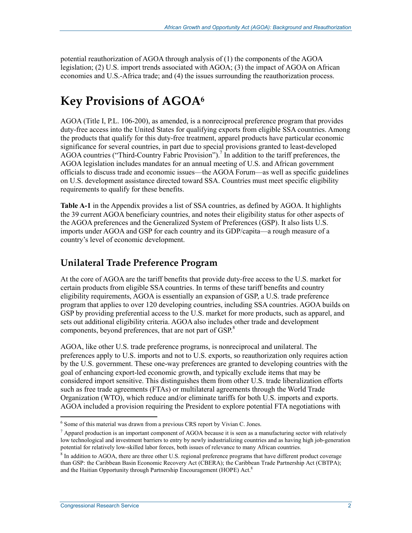potential reauthorization of AGOA through analysis of (1) the components of the AGOA legislation; (2) U.S. import trends associated with AGOA; (3) the impact of AGOA on African economies and U.S.-Africa trade; and (4) the issues surrounding the reauthorization process.

# **Key Provisions of AGOA6**

AGOA (Title I, P.L. 106-200), as amended, is a nonreciprocal preference program that provides duty-free access into the United States for qualifying exports from eligible SSA countries. Among the products that qualify for this duty-free treatment, apparel products have particular economic significance for several countries, in part due to special provisions granted to least-developed AGOA countries ("Third-Country Fabric Provision").<sup>7</sup> In addition to the tariff preferences, the AGOA legislation includes mandates for an annual meeting of U.S. and African government officials to discuss trade and economic issues—the AGOA Forum—as well as specific guidelines on U.S. development assistance directed toward SSA. Countries must meet specific eligibility requirements to qualify for these benefits.

**Table A-1** in the Appendix provides a list of SSA countries, as defined by AGOA. It highlights the 39 current AGOA beneficiary countries, and notes their eligibility status for other aspects of the AGOA preferences and the Generalized System of Preferences (GSP). It also lists U.S. imports under AGOA and GSP for each country and its GDP/capita—a rough measure of a country's level of economic development.

## **Unilateral Trade Preference Program**

At the core of AGOA are the tariff benefits that provide duty-free access to the U.S. market for certain products from eligible SSA countries. In terms of these tariff benefits and country eligibility requirements, AGOA is essentially an expansion of GSP, a U.S. trade preference program that applies to over 120 developing countries, including SSA countries. AGOA builds on GSP by providing preferential access to the U.S. market for more products, such as apparel, and sets out additional eligibility criteria. AGOA also includes other trade and development components, beyond preferences, that are not part of GSP.<sup>8</sup>

AGOA, like other U.S. trade preference programs, is nonreciprocal and unilateral. The preferences apply to U.S. imports and not to U.S. exports, so reauthorization only requires action by the U.S. government. These one-way preferences are granted to developing countries with the goal of enhancing export-led economic growth, and typically exclude items that may be considered import sensitive. This distinguishes them from other U.S. trade liberalization efforts such as free trade agreements (FTAs) or multilateral agreements through the World Trade Organization (WTO), which reduce and/or eliminate tariffs for both U.S. imports and exports. AGOA included a provision requiring the President to explore potential FTA negotiations with

<sup>&</sup>lt;sup>6</sup> Some of this material was drawn from a previous CRS report by Vivian C. Jones.

<sup>&</sup>lt;sup>7</sup> Apparel production is an important component of AGOA because it is seen as a manufacturing sector with relatively low technological and investment barriers to entry by newly industrializing countries and as having high job-generation potential for relatively low-skilled labor forces, both issues of relevance to many African countries.

<sup>&</sup>lt;sup>8</sup> In addition to AGOA, there are three other U.S. regional preference programs that have different product coverage than GSP: the Caribbean Basin Economic Recovery Act (CBERA); the Caribbean Trade Partnership Act (CBTPA); and the Haitian Opportunity through Partnership Encouragement (HOPE) Act.<sup>8</sup>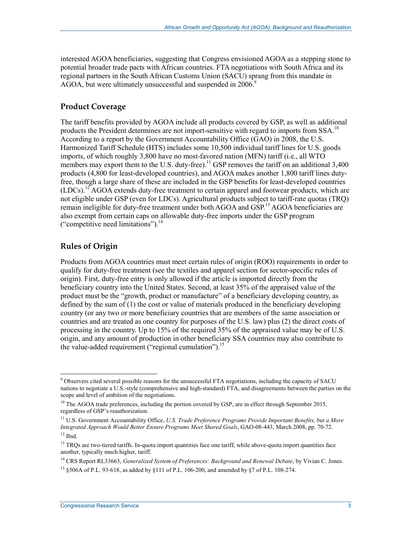interested AGOA beneficiaries, suggesting that Congress envisioned AGOA as a stepping stone to potential broader trade pacts with African countries. FTA negotiations with South Africa and its regional partners in the South African Customs Union (SACU) sprang from this mandate in AGOA, but were ultimately unsuccessful and suspended in 2006.<sup>9</sup>

### **Product Coverage**

The tariff benefits provided by AGOA include all products covered by GSP, as well as additional products the President determines are not import-sensitive with regard to imports from  $SSA$ .<sup>10</sup> According to a report by the Government Accountability Office (GAO) in 2008, the U.S. Harmonized Tariff Schedule (HTS) includes some 10,500 individual tariff lines for U.S. goods imports, of which roughly 3,800 have no most-favored nation (MFN) tariff (i.e., all WTO members may export them to the U.S. duty-free).<sup>11</sup> GSP removes the tariff on an additional  $3,400$ products (4,800 for least-developed countries), and AGOA makes another 1,800 tariff lines dutyfree, though a large share of these are included in the GSP benefits for least-developed countries (LDCs).12 AGOA extends duty-free treatment to certain apparel and footwear products, which are not eligible under GSP (even for LDCs). Agricultural products subject to tariff-rate quotas (TRQ) remain ineligible for duty-free treatment under both AGOA and GSP.<sup>13</sup> AGOA beneficiaries are also exempt from certain caps on allowable duty-free imports under the GSP program ("competitive need limitations").14

### **Rules of Origin**

Products from AGOA countries must meet certain rules of origin (ROO) requirements in order to qualify for duty-free treatment (see the textiles and apparel section for sector-specific rules of origin). First, duty-free entry is only allowed if the article is imported directly from the beneficiary country into the United States. Second, at least 35% of the appraised value of the product must be the "growth, product or manufacture" of a beneficiary developing country, as defined by the sum of (1) the cost or value of materials produced in the beneficiary developing country (or any two or more beneficiary countries that are members of the same association or countries and are treated as one country for purposes of the U.S. law) plus (2) the direct costs of processing in the country. Up to 15% of the required 35% of the appraised value may be of U.S. origin, and any amount of production in other beneficiary SSA countries may also contribute to the value-added requirement ("regional cumulation").<sup>15</sup>

errical observers cited several possible reasons for the unsuccessful FTA negotiations, including the capacity of SACU nations to negotiate a U.S.-style (comprehensive and high-standard) FTA, and disagreements between the parties on the scope and level of ambition of the negotiations.

 $10$  The AGOA trade preferences, including the portion covered by GSP, are in effect through September 2015, regardless of GSP's reauthorization.

<sup>11</sup> U.S. Government Accountability Office, *U.S. Trade Preference Programs Provide Important Benefits, but a More Integrated Approach Would Better Ensure Programs Meet Shared Goals*, GAO-08-443, March 2008, pp. 70-72.  $12$  Ibid.

<sup>&</sup>lt;sup>13</sup> TRQs are two-tiered tariffs. In-quota import quantities face one tariff, while above-quota import quantities face another, typically much higher, tariff.

<sup>14</sup> CRS Report RL33663, *Generalized System of Preferences: Background and Renewal Debate*, by Vivian C. Jones. <sup>15</sup> §506A of P.L. 93-618, as added by §111 of P.L. 106-200, and amended by §7 of P.L. 108-274.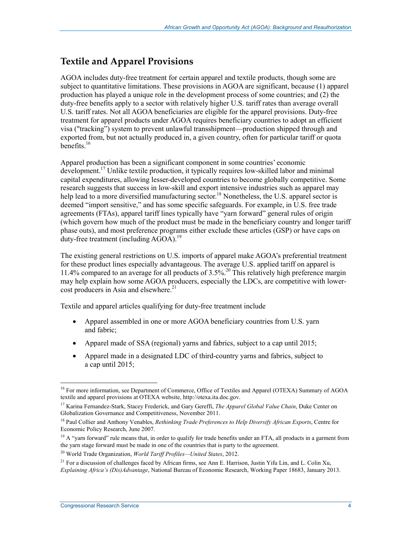## **Textile and Apparel Provisions**

AGOA includes duty-free treatment for certain apparel and textile products, though some are subject to quantitative limitations. These provisions in AGOA are significant, because (1) apparel production has played a unique role in the development process of some countries; and (2) the duty-free benefits apply to a sector with relatively higher U.S. tariff rates than average overall U.S. tariff rates. Not all AGOA beneficiaries are eligible for the apparel provisions. Duty-free treatment for apparel products under AGOA requires beneficiary countries to adopt an efficient visa ("tracking") system to prevent unlawful transshipment—production shipped through and exported from, but not actually produced in, a given country, often for particular tariff or quota benefits $16$ 

Apparel production has been a significant component in some countries' economic development.<sup>17</sup> Unlike textile production, it typically requires low-skilled labor and minimal capital expenditures, allowing lesser-developed countries to become globally competitive. Some research suggests that success in low-skill and export intensive industries such as apparel may help lead to a more diversified manufacturing sector.<sup>18</sup> Nonetheless, the U.S. apparel sector is deemed "import sensitive," and has some specific safeguards. For example, in U.S. free trade agreements (FTAs), apparel tariff lines typically have "yarn forward" general rules of origin (which govern how much of the product must be made in the beneficiary country and longer tariff phase outs), and most preference programs either exclude these articles (GSP) or have caps on duty-free treatment (including AGOA).<sup>19</sup>

The existing general restrictions on U.S. imports of apparel make AGOA's preferential treatment for these product lines especially advantageous. The average U.S. applied tariff on apparel is 11.4% compared to an average for all products of 3.5%.<sup>20</sup> This relatively high preference margin may help explain how some AGOA producers, especially the LDCs, are competitive with lower- $\cot$  producers in Asia and elsewhere.<sup>21</sup>

Textile and apparel articles qualifying for duty-free treatment include

- Apparel assembled in one or more AGOA beneficiary countries from U.S. yarn and fabric;
- Apparel made of SSA (regional) yarns and fabrics, subject to a cap until 2015;
- Apparel made in a designated LDC of third-country yarns and fabrics, subject to a cap until 2015;

<sup>&</sup>lt;u>.</u> <sup>16</sup> For more information, see Department of Commerce, Office of Textiles and Apparel (OTEXA) Summary of AGOA textile and apparel provisions at OTEXA website, http://otexa.ita.doc.gov.

<sup>17</sup> Karina Fernandez-Stark, Stacey Frederick, and Gary Gereffi, *The Apparel Global Value Chain*, Duke Center on Globalization Governance and Competitiveness, November 2011.

<sup>18</sup> Paul Collier and Anthony Venables, *Rethinking Trade Preferences to Help Diversify African Exports*, Centre for Economic Policy Research, June 2007.

<sup>&</sup>lt;sup>19</sup> A "yarn forward" rule means that, in order to qualify for trade benefits under an FTA, all products in a garment from the yarn stage forward must be made in one of the countries that is party to the agreement.

<sup>20</sup> World Trade Organization, *World Tariff Profiles—United States*, 2012.

<sup>&</sup>lt;sup>21</sup> For a discussion of challenges faced by African firms, see Ann E. Harrison, Justin Yifu Lin, and L. Colin Xu, *Explaining Africa's (Dis)Advantage*, National Bureau of Economic Research, Working Paper 18683, January 2013.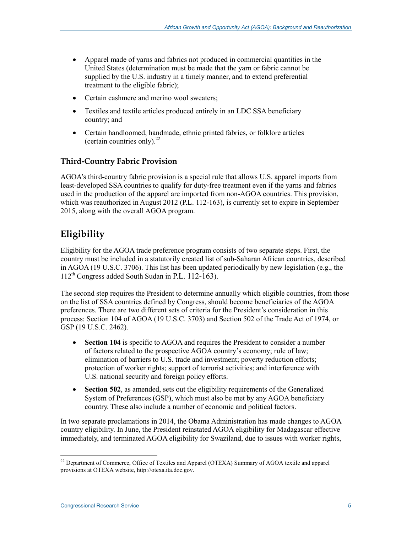- Apparel made of yarns and fabrics not produced in commercial quantities in the United States (determination must be made that the yarn or fabric cannot be supplied by the U.S. industry in a timely manner, and to extend preferential treatment to the eligible fabric);
- Certain cashmere and merino wool sweaters;
- Textiles and textile articles produced entirely in an LDC SSA beneficiary country; and
- Certain handloomed, handmade, ethnic printed fabrics, or folklore articles (certain countries only). $^{22}$

### **Third-Country Fabric Provision**

AGOA's third-country fabric provision is a special rule that allows U.S. apparel imports from least-developed SSA countries to qualify for duty-free treatment even if the yarns and fabrics used in the production of the apparel are imported from non-AGOA countries. This provision, which was reauthorized in August 2012 (P.L. 112-163), is currently set to expire in September 2015, along with the overall AGOA program.

## **Eligibility**

Eligibility for the AGOA trade preference program consists of two separate steps. First, the country must be included in a statutorily created list of sub-Saharan African countries, described in AGOA (19 U.S.C. 3706). This list has been updated periodically by new legislation (e.g., the 112th Congress added South Sudan in P.L. 112-163).

The second step requires the President to determine annually which eligible countries, from those on the list of SSA countries defined by Congress, should become beneficiaries of the AGOA preferences. There are two different sets of criteria for the President's consideration in this process: Section 104 of AGOA (19 U.S.C. 3703) and Section 502 of the Trade Act of 1974, or GSP (19 U.S.C. 2462).

- **Section 104** is specific to AGOA and requires the President to consider a number of factors related to the prospective AGOA country's economy; rule of law; elimination of barriers to U.S. trade and investment; poverty reduction efforts; protection of worker rights; support of terrorist activities; and interference with U.S. national security and foreign policy efforts.
- **Section 502**, as amended, sets out the eligibility requirements of the Generalized System of Preferences (GSP), which must also be met by any AGOA beneficiary country. These also include a number of economic and political factors.

In two separate proclamations in 2014, the Obama Administration has made changes to AGOA country eligibility. In June, the President reinstated AGOA eligibility for Madagascar effective immediately, and terminated AGOA eligibility for Swaziland, due to issues with worker rights,

<sup>1</sup>  $^{22}$  Department of Commerce, Office of Textiles and Apparel (OTEXA) Summary of AGOA textile and apparel provisions at OTEXA website, http://otexa.ita.doc.gov.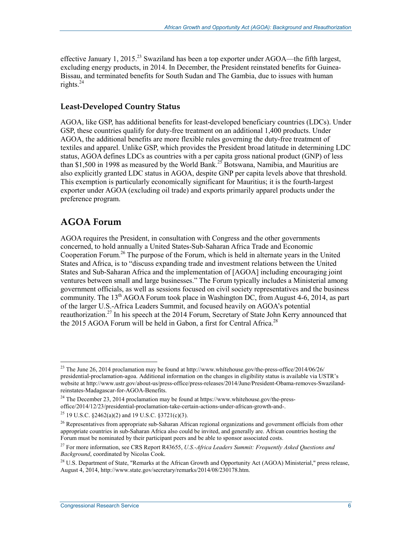effective January 1, 2015.<sup>23</sup> Swaziland has been a top exporter under AGOA—the fifth largest, excluding energy products, in 2014. In December, the President reinstated benefits for Guinea-Bissau, and terminated benefits for South Sudan and The Gambia, due to issues with human rights. $^{24}$ 

#### **Least-Developed Country Status**

AGOA, like GSP, has additional benefits for least-developed beneficiary countries (LDCs). Under GSP, these countries qualify for duty-free treatment on an additional 1,400 products. Under AGOA, the additional benefits are more flexible rules governing the duty-free treatment of textiles and apparel. Unlike GSP, which provides the President broad latitude in determining LDC status, AGOA defines LDCs as countries with a per capita gross national product (GNP) of less than \$1,500 in 1998 as measured by the World Bank.<sup>25</sup> Botswana, Namibia, and Mauritius are also explicitly granted LDC status in AGOA, despite GNP per capita levels above that threshold. This exemption is particularly economically significant for Mauritius; it is the fourth-largest exporter under AGOA (excluding oil trade) and exports primarily apparel products under the preference program.

## **AGOA Forum**

<u>.</u>

AGOA requires the President, in consultation with Congress and the other governments concerned, to hold annually a United States-Sub-Saharan Africa Trade and Economic Cooperation Forum.<sup>26</sup> The purpose of the Forum, which is held in alternate years in the United States and Africa, is to "discuss expanding trade and investment relations between the United States and Sub-Saharan Africa and the implementation of [AGOA] including encouraging joint ventures between small and large businesses." The Forum typically includes a Ministerial among government officials, as well as sessions focused on civil society representatives and the business community. The  $13<sup>th</sup> AGOA$  Forum took place in Washington DC, from August 4-6, 2014, as part of the larger U.S.-Africa Leaders Summit, and focused heavily on AGOA's potential reauthorization.<sup>27</sup> In his speech at the 2014 Forum, Secretary of State John Kerry announced that the 2015 AGOA Forum will be held in Gabon, a first for Central Africa.<sup>28</sup>

 $^{23}$  The June 26, 2014 proclamation may be found at http://www.whitehouse.gov/the-press-office/2014/06/26/ presidential-proclamation-agoa. Additional information on the changes in eligibility status is available via USTR's website at http://www.ustr.gov/about-us/press-office/press-releases/2014/June/President-Obama-removes-Swazilandreinstates-Madagascar-for-AGOA-Benefits.

 $^{24}$  The December 23, 2014 proclamation may be found at https://www.whitehouse.gov/the-pressoffice/2014/12/23/presidential-proclamation-take-certain-actions-under-african-growth-and-.

<sup>25 19</sup> U.S.C. §2462(a)(2) and 19 U.S.C. §3721(c)(3).

 $26$  Representatives from appropriate sub-Saharan African regional organizations and government officials from other appropriate countries in sub-Saharan Africa also could be invited, and generally are. African countries hosting the Forum must be nominated by their participant peers and be able to sponsor associated costs.

<sup>27</sup> For more information, see CRS Report R43655, *U.S.-Africa Leaders Summit: Frequently Asked Questions and Background*, coordinated by Nicolas Cook.

 $^{28}$  U.S. Department of State, "Remarks at the African Growth and Opportunity Act (AGOA) Ministerial," press release, August 4, 2014, http://www.state.gov/secretary/remarks/2014/08/230178.htm.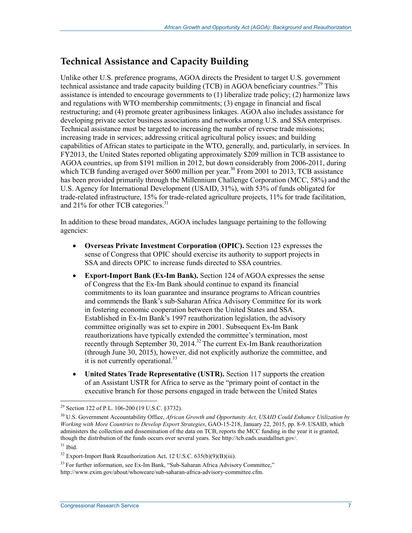## **Technical Assistance and Capacity Building**

Unlike other U.S. preference programs, AGOA directs the President to target U.S. government technical assistance and trade capacity building (TCB) in AGOA beneficiary countries.<sup>29</sup> This assistance is intended to encourage governments to (1) liberalize trade policy; (2) harmonize laws and regulations with WTO membership commitments; (3) engage in financial and fiscal restructuring; and (4) promote greater agribusiness linkages. AGOA also includes assistance for developing private sector business associations and networks among U.S. and SSA enterprises. Technical assistance must be targeted to increasing the number of reverse trade missions; increasing trade in services; addressing critical agricultural policy issues; and building capabilities of African states to participate in the WTO, generally, and, particularly, in services. In FY2013, the United States reported obligating approximately \$209 million in TCB assistance to AGOA countries, up from \$191 million in 2012, but down considerably from 2006-2011, during which TCB funding averaged over \$600 million per year.<sup>30</sup> From 2001 to 2013, TCB assistance has been provided primarily through the Millennium Challenge Corporation (MCC, 58%) and the U.S. Agency for International Development (USAID, 31%), with 53% of funds obligated for trade-related infrastructure, 15% for trade-related agriculture projects, 11% for trade facilitation, and 21% for other TCB categories. $31$ 

In addition to these broad mandates, AGOA includes language pertaining to the following agencies:

- **Overseas Private Investment Corporation (OPIC).** Section 123 expresses the sense of Congress that OPIC should exercise its authority to support projects in SSA and directs OPIC to increase funds directed to SSA countries.
- **Export-Import Bank (Ex-Im Bank).** Section 124 of AGOA expresses the sense of Congress that the Ex-Im Bank should continue to expand its financial commitments to its loan guarantee and insurance programs to African countries and commends the Bank's sub-Saharan Africa Advisory Committee for its work in fostering economic cooperation between the United States and SSA. Established in Ex-Im Bank's 1997 reauthorization legislation, the advisory committee originally was set to expire in 2001. Subsequent Ex-Im Bank reauthorizations have typically extended the committee's termination, most recently through September 30, 2014.<sup>32</sup> The current Ex-Im Bank reauthorization (through June 30, 2015), however, did not explicitly authorize the committee, and it is not currently operational.<sup>33</sup>
- **United States Trade Representative (USTR).** Section 117 supports the creation of an Assistant USTR for Africa to serve as the "primary point of contact in the executive branch for those persons engaged in trade between the United States

<sup>&</sup>lt;sup>29</sup> Section 122 of P.L. 106-200 (19 U.S.C. §3732).

<sup>&</sup>lt;sup>30</sup> U.S. Government Accountability Office, African Growth and Opportunity Act, USAID Could Enhance Utilization by *Working with More Countries to Develop Export Strategies*, GAO-15-218, January 22, 2015, pp. 8-9. USAID, which administers the collection and dissemination of the data on TCB, reports the MCC funding in the year it is granted, though the distribution of the funds occurs over several years. See http://tcb.eads.usaidallnet.gov/.  $31$  Ibid.

 $32$  Export-Import Bank Reauthorization Act, 12 U.S.C. 635(b)(9)(B)(iii).

 $33$  For further information, see Ex-Im Bank, "Sub-Saharan Africa Advisory Committee," http://www.exim.gov/about/whoweare/sub-saharan-africa-advisory-committee.cfm.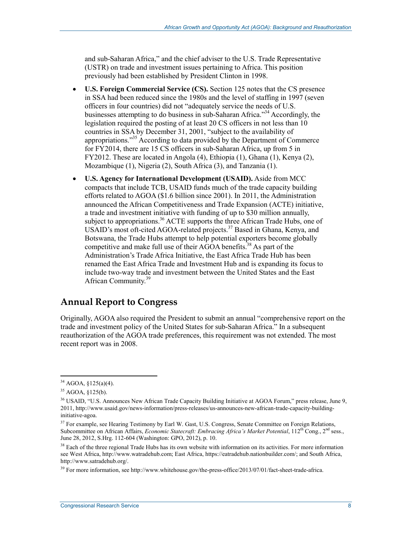and sub-Saharan Africa," and the chief adviser to the U.S. Trade Representative (USTR) on trade and investment issues pertaining to Africa. This position previously had been established by President Clinton in 1998.

- **U.S. Foreign Commercial Service (CS).** Section 125 notes that the CS presence in SSA had been reduced since the 1980s and the level of staffing in 1997 (seven officers in four countries) did not "adequately service the needs of U.S. businesses attempting to do business in sub-Saharan Africa."34 Accordingly, the legislation required the posting of at least 20 CS officers in not less than 10 countries in SSA by December 31, 2001, "subject to the availability of appropriations."35 According to data provided by the Department of Commerce for FY2014, there are 15 CS officers in sub-Saharan Africa, up from 5 in FY2012. These are located in Angola (4), Ethiopia (1), Ghana (1), Kenya (2), Mozambique (1), Nigeria (2), South Africa (3), and Tanzania (1).
- **U.S. Agency for International Development (USAID).** Aside from MCC compacts that include TCB, USAID funds much of the trade capacity building efforts related to AGOA (\$1.6 billion since 2001). In 2011, the Administration announced the African Competitiveness and Trade Expansion (ACTE) initiative, a trade and investment initiative with funding of up to \$30 million annually, subject to appropriations.<sup>36</sup> ACTE supports the three African Trade Hubs, one of USAID's most oft-cited AGOA-related projects.<sup>37</sup> Based in Ghana, Kenya, and Botswana, the Trade Hubs attempt to help potential exporters become globally competitive and make full use of their  $\widehat{AGOA}$  benefits.<sup>38</sup> As part of the Administration's Trade Africa Initiative, the East Africa Trade Hub has been renamed the East Africa Trade and Investment Hub and is expanding its focus to include two-way trade and investment between the United States and the East African Community.<sup>39</sup>

### **Annual Report to Congress**

Originally, AGOA also required the President to submit an annual "comprehensive report on the trade and investment policy of the United States for sub-Saharan Africa." In a subsequent reauthorization of the AGOA trade preferences, this requirement was not extended. The most recent report was in 2008.

 $34$  AGOA,  $$125(a)(4)$ .

 $35$  AGOA,  $$125(b)$ .

<sup>&</sup>lt;sup>36</sup> USAID, "U.S. Announces New African Trade Capacity Building Initiative at AGOA Forum," press release, June 9, 2011, http://www.usaid.gov/news-information/press-releases/us-announces-new-african-trade-capacity-buildinginitiative-agoa.

 $37$  For example, see Hearing Testimony by Earl W. Gast, U.S. Congress, Senate Committee on Foreign Relations, Subcommittee on African Affairs, *Economic Statecraft: Embracing Africa's Market Potential*, 112<sup>th</sup> Cong., 2<sup>nd</sup> sess., June 28, 2012, S.Hrg. 112-604 (Washington: GPO, 2012), p. 10.

<sup>&</sup>lt;sup>38</sup> Each of the three regional Trade Hubs has its own website with information on its activities. For more information see West Africa, http://www.watradehub.com; East Africa, https://eatradehub.nationbuilder.com/; and South Africa, http://www.satradehub.org/.

 $39$  For more information, see http://www.whitehouse.gov/the-press-office/2013/07/01/fact-sheet-trade-africa.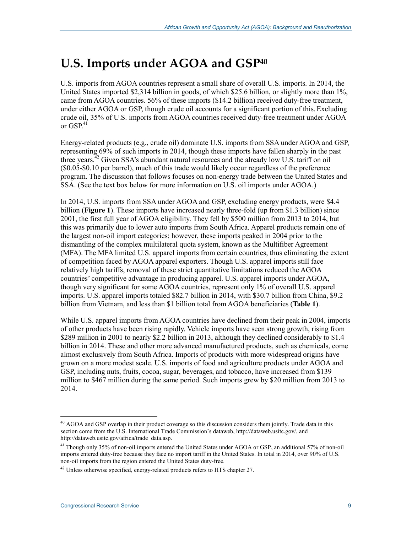# **U.S. Imports under AGOA and GSP40**

U.S. imports from AGOA countries represent a small share of overall U.S. imports. In 2014, the United States imported \$2,314 billion in goods, of which \$25.6 billion, or slightly more than 1%, came from AGOA countries. 56% of these imports (\$14.2 billion) received duty-free treatment, under either AGOA or GSP, though crude oil accounts for a significant portion of this.Excluding crude oil, 35% of U.S. imports from AGOA countries received duty-free treatment under AGOA or  $GSP<sup>41</sup>$ 

Energy-related products (e.g., crude oil) dominate U.S. imports from SSA under AGOA and GSP, representing 69% of such imports in 2014, though these imports have fallen sharply in the past three years. $^{42}$  Given SSA's abundant natural resources and the already low U.S. tariff on oil (\$0.05-\$0.10 per barrel), much of this trade would likely occur regardless of the preference program. The discussion that follows focuses on non-energy trade between the United States and SSA. (See the text box below for more information on U.S. oil imports under AGOA.)

In 2014, U.S. imports from SSA under AGOA and GSP, excluding energy products, were \$4.4 billion (**Figure 1**). These imports have increased nearly three-fold (up from \$1.3 billion) since 2001, the first full year of AGOA eligibility. They fell by \$500 million from 2013 to 2014, but this was primarily due to lower auto imports from South Africa. Apparel products remain one of the largest non-oil import categories; however, these imports peaked in 2004 prior to the dismantling of the complex multilateral quota system, known as the Multifiber Agreement (MFA). The MFA limited U.S. apparel imports from certain countries, thus eliminating the extent of competition faced by AGOA apparel exporters. Though U.S. apparel imports still face relatively high tariffs, removal of these strict quantitative limitations reduced the AGOA countries' competitive advantage in producing apparel. U.S. apparel imports under AGOA, though very significant for some AGOA countries, represent only 1% of overall U.S. apparel imports. U.S. apparel imports totaled \$82.7 billion in 2014, with \$30.7 billion from China, \$9.2 billion from Vietnam, and less than \$1 billion total from AGOA beneficiaries (**Table 1**).

While U.S. apparel imports from AGOA countries have declined from their peak in 2004, imports of other products have been rising rapidly. Vehicle imports have seen strong growth, rising from \$289 million in 2001 to nearly \$2.2 billion in 2013, although they declined considerably to \$1.4 billion in 2014. These and other more advanced manufactured products, such as chemicals, come almost exclusively from South Africa. Imports of products with more widespread origins have grown on a more modest scale. U.S. imports of food and agriculture products under AGOA and GSP, including nuts, fruits, cocoa, sugar, beverages, and tobacco, have increased from \$139 million to \$467 million during the same period. Such imports grew by \$20 million from 2013 to 2014.

 $40$  AGOA and GSP overlap in their product coverage so this discussion considers them jointly. Trade data in this section come from the U.S. International Trade Commission's dataweb, http://dataweb.usitc.gov/, and http://dataweb.usitc.gov/africa/trade\_data.asp.

<sup>&</sup>lt;sup>41</sup> Though only 35% of non-oil imports entered the United States under AGOA or GSP, an additional 57% of non-oil imports entered duty-free because they face no import tariff in the United States. In total in 2014, over 90% of U.S. non-oil imports from the region entered the United States duty-free.

 $42$  Unless otherwise specified, energy-related products refers to HTS chapter 27.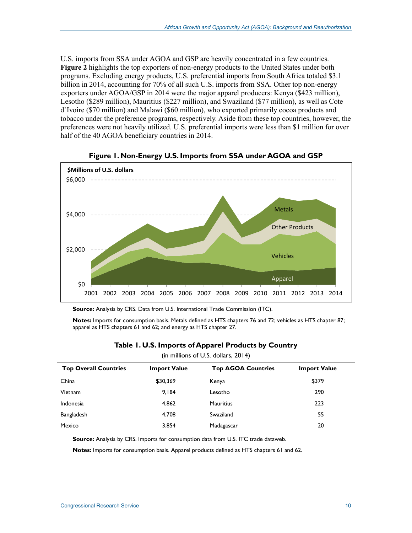U.S. imports from SSA under AGOA and GSP are heavily concentrated in a few countries. **Figure 2** highlights the top exporters of non-energy products to the United States under both programs. Excluding energy products, U.S. preferential imports from South Africa totaled \$3.1 billion in 2014, accounting for 70% of all such U.S. imports from SSA. Other top non-energy exporters under AGOA/GSP in 2014 were the major apparel producers: Kenya (\$423 million), Lesotho (\$289 million), Mauritius (\$227 million), and Swaziland (\$77 million), as well as Cote d`Ivoire (\$70 million) and Malawi (\$60 million), who exported primarily cocoa products and tobacco under the preference programs, respectively. Aside from these top countries, however, the preferences were not heavily utilized. U.S. preferential imports were less than \$1 million for over half of the 40 AGOA beneficiary countries in 2014.





**Source:** Analysis by CRS. Data from U.S. International Trade Commission (ITC).

**Notes:** Imports for consumption basis. Metals defined as HTS chapters 76 and 72; vehicles as HTS chapter 87; apparel as HTS chapters 61 and 62; and energy as HTS chapter 27.

| (in millions of U.S. dollars, 2014) |                     |                           |                     |  |  |
|-------------------------------------|---------------------|---------------------------|---------------------|--|--|
| <b>Top Overall Countries</b>        | <b>Import Value</b> | <b>Top AGOA Countries</b> | <b>Import Value</b> |  |  |
| China                               | \$30,369            | Kenya                     | \$379               |  |  |
| <b>Vietnam</b>                      | 9.184               | Lesotho                   | 290                 |  |  |
| Indonesia                           | 4,862               | <b>Mauritius</b>          | 223                 |  |  |
| Bangladesh                          | 4,708               | Swaziland                 | 55                  |  |  |
| Mexico                              | 3.854               | Madagascar                | 20                  |  |  |

#### **Table 1. U.S. Imports of Apparel Products by Country**

**Source:** Analysis by CRS. Imports for consumption data from U.S. ITC trade dataweb.

**Notes:** Imports for consumption basis. Apparel products defined as HTS chapters 61 and 62.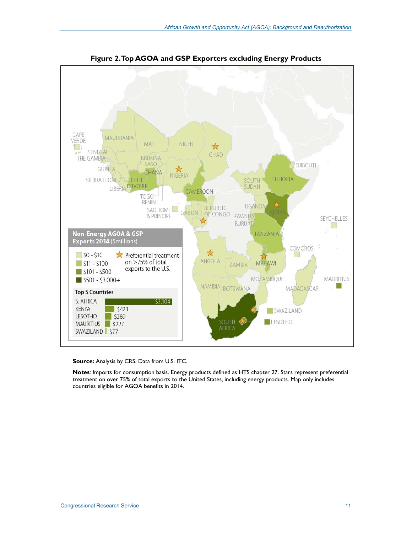

**Figure 2. Top AGOA and GSP Exporters excluding Energy Products** 

**Source:** Analysis by CRS. Data from U.S. ITC.

**Notes**: Imports for consumption basis. Energy products defined as HTS chapter 27. Stars represent preferential treatment on over 75% of total exports to the United States, including energy products. Map only includes countries eligible for AGOA benefits in 2014.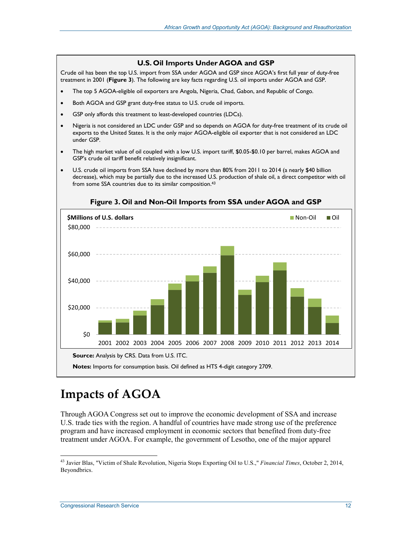# from some SSA countries due to its similar composition.43 **Figure 3. Oil and Non-Oil Imports from SSA under AGOA and GSP**  \$0 \$20,000 \$40,000 \$60,000 \$80,000 2001 2002 2003 2004 2005 2006 2007 2008 2009 2010 2011 2012 2013 2014 **\$Millions of U.S. dollars** Non-Oil **Non-Oil Oil Oil Oil Non-Oil District Oil Oil Oil Source:** Analysis by CRS. Data from U.S. ITC. **Notes:** Imports for consumption basis. Oil defined as HTS 4-digit category 2709.

**U.S. Oil Imports Under AGOA and GSP** Crude oil has been the top U.S. import from SSA under AGOA and GSP since AGOA's first full year of duty-free treatment in 2001 (**Figure 3**). The following are key facts regarding U.S. oil imports under AGOA and GSP. • The top 5 AGOA-eligible oil exporters are Angola, Nigeria, Chad, Gabon, and Republic of Congo.

• Nigeria is not considered an LDC under GSP and so depends on AGOA for duty-free treatment of its crude oil exports to the United States. It is the only major AGOA-eligible oil exporter that is not considered an LDC

• The high market value of oil coupled with a low U.S. import tariff, \$0.05-\$0.10 per barrel, makes AGOA and

• U.S. crude oil imports from SSA have declined by more than 80% from 2011 to 2014 (a nearly \$40 billion decrease), which may be partially due to the increased U.S. production of shale oil, a direct competitor with oil

Both AGOA and GSP grant duty-free status to U.S. crude oil imports. GSP only affords this treatment to least-developed countries (LDCs).

GSP's crude oil tariff benefit relatively insignificant.

# **Impacts of AGOA**

under GSP.

Through AGOA Congress set out to improve the economic development of SSA and increase U.S. trade ties with the region. A handful of countries have made strong use of the preference program and have increased employment in economic sectors that benefited from duty-free treatment under AGOA. For example, the government of Lesotho, one of the major apparel

<sup>1</sup> 43 Javier Blas, "Victim of Shale Revolution, Nigeria Stops Exporting Oil to U.S.," *Financial Times*, October 2, 2014, Beyondbrics.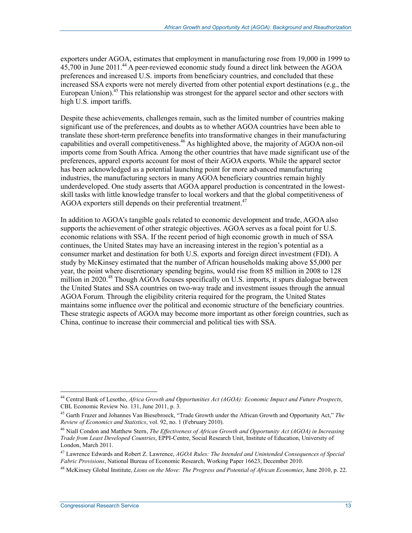exporters under AGOA, estimates that employment in manufacturing rose from 19,000 in 1999 to 45,700 in June 2011.44 A peer-reviewed economic study found a direct link between the AGOA preferences and increased U.S. imports from beneficiary countries, and concluded that these increased SSA exports were not merely diverted from other potential export destinations (e.g., the European Union).<sup>45</sup> This relationship was strongest for the apparel sector and other sectors with high U.S. import tariffs.

Despite these achievements, challenges remain, such as the limited number of countries making significant use of the preferences, and doubts as to whether AGOA countries have been able to translate these short-term preference benefits into transformative changes in their manufacturing capabilities and overall competitiveness.<sup>46</sup> As highlighted above, the majority of AGOA non-oil imports come from South Africa. Among the other countries that have made significant use of the preferences, apparel exports account for most of their AGOA exports. While the apparel sector has been acknowledged as a potential launching point for more advanced manufacturing industries, the manufacturing sectors in many AGOA beneficiary countries remain highly underdeveloped. One study asserts that AGOA apparel production is concentrated in the lowestskill tasks with little knowledge transfer to local workers and that the global competitiveness of AGOA exporters still depends on their preferential treatment.<sup>47</sup>

In addition to AGOA's tangible goals related to economic development and trade, AGOA also supports the achievement of other strategic objectives. AGOA serves as a focal point for U.S. economic relations with SSA. If the recent period of high economic growth in much of SSA continues, the United States may have an increasing interest in the region's potential as a consumer market and destination for both U.S. exports and foreign direct investment (FDI). A study by McKinsey estimated that the number of African households making above \$5,000 per year, the point where discretionary spending begins, would rise from 85 million in 2008 to 128 million in 2020.<sup>48</sup> Though AGOA focuses specifically on U.S. imports, it spurs dialogue between the United States and SSA countries on two-way trade and investment issues through the annual AGOA Forum. Through the eligibility criteria required for the program, the United States maintains some influence over the political and economic structure of the beneficiary countries. These strategic aspects of AGOA may become more important as other foreign countries, such as China, continue to increase their commercial and political ties with SSA.

<sup>44</sup> Central Bank of Lesotho, *Africa Growth and Opportunities Act (AGOA): Economic Impact and Future Prospects*, CBL Economic Review No. 131, June 2011, p. 3.

<sup>45</sup> Garth Frazer and Johannes Van Biesebroeck, "Trade Growth under the African Growth and Opportunity Act," *The Review of Economics and Statistics*, vol. 92, no. 1 (February 2010).

<sup>46</sup> Niall Condon and Matthew Stern, *The Effectiveness of African Growth and Opportunity Act (AGOA) in Increasing Trade from Least Developed Countries*, EPPI-Centre, Social Research Unit, Institute of Education, University of London, March 2011.

<sup>47</sup> Lawrence Edwards and Robert Z. Lawrence, *AGOA Rules: The Intended and Unintended Consequences of Special Fabric Provisions*, National Bureau of Economic Research, Working Paper 16623, December 2010.

<sup>48</sup> McKinsey Global Institute, *Lions on the Move: The Progress and Potential of African Economies*, June 2010, p. 22.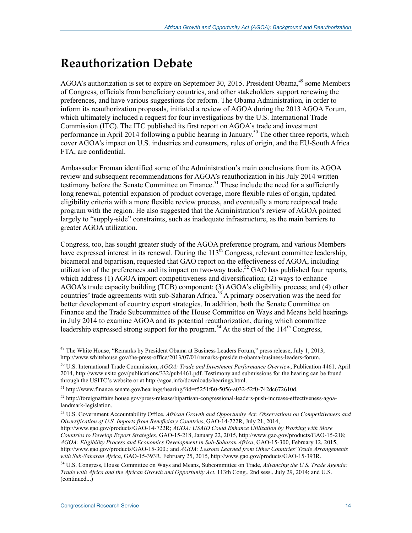# **Reauthorization Debate**

AGOA's authorization is set to expire on September 30, 2015. President Obama,<sup>49</sup> some Members of Congress, officials from beneficiary countries, and other stakeholders support renewing the preferences, and have various suggestions for reform. The Obama Administration, in order to inform its reauthorization proposals, initiated a review of AGOA during the 2013 AGOA Forum, which ultimately included a request for four investigations by the U.S. International Trade Commission (ITC). The ITC published its first report on AGOA's trade and investment performance in April 2014 following a public hearing in January.<sup>50</sup> The other three reports, which cover AGOA's impact on U.S. industries and consumers, rules of origin, and the EU-South Africa FTA, are confidential.

Ambassador Froman identified some of the Administration's main conclusions from its AGOA review and subsequent recommendations for AGOA's reauthorization in his July 2014 written testimony before the Senate Committee on Finance.<sup>51</sup> These include the need for a sufficiently long renewal, potential expansion of product coverage, more flexible rules of origin, updated eligibility criteria with a more flexible review process, and eventually a more reciprocal trade program with the region. He also suggested that the Administration's review of AGOA pointed largely to "supply-side" constraints, such as inadequate infrastructure, as the main barriers to greater AGOA utilization.

Congress, too, has sought greater study of the AGOA preference program, and various Members have expressed interest in its renewal. During the  $113<sup>th</sup>$  Congress, relevant committee leadership, bicameral and bipartisan, requested that GAO report on the effectiveness of AGOA, including utilization of the preferences and its impact on two-way trade.<sup>52</sup> GAO has published four reports, which address  $(1)$  AGOA import competitiveness and diversification; (2) ways to enhance AGOA's trade capacity building (TCB) component; (3) AGOA's eligibility process; and (4) other countries' trade agreements with sub-Saharan Africa.<sup>53</sup> A primary observation was the need for better development of country export strategies. In addition, both the Senate Committee on Finance and the Trade Subcommittee of the House Committee on Ways and Means held hearings in July 2014 to examine AGOA and its potential reauthorization, during which committee leadership expressed strong support for the program.<sup>54</sup> At the start of the  $114<sup>th</sup>$  Congress,

<sup>&</sup>lt;sup>49</sup> The White House, "Remarks by President Obama at Business Leaders Forum," press release, July 1, 2013, http://www.whitehouse.gov/the-press-office/2013/07/01/remarks-president-obama-business-leaders-forum.

<sup>50</sup> U.S. International Trade Commission, *AGOA: Trade and Investment Performance Overview*, Publication 4461, April 2014, http://www.usitc.gov/publications/332/pub4461.pdf. Testimony and submissions for the hearing can be found through the USITC's website or at http://agoa.info/downloads/hearings.html.

 $51 \text{ http://www.finance.senate.gov/hearing/hearing/2id=f5251f60-5056-a032-52f0-742dc672610d.}$ 

 $52$  http://foreignaffairs.house.gov/press-release/bipartisan-congressional-leaders-push-increase-effectiveness-agoalandmark-legislation.

<sup>53</sup> U.S. Government Accountability Office, *African Growth and Opportunity Act: Observations on Competitiveness and Diversification of U.S. Imports from Beneficiary Countries*, GAO-14-722R, July 21, 2014,

http://www.gao.gov/products/GAO-14-722R; *AGOA: USAID Could Enhance Utilization by Working with More Countries to Develop Export Strategies*, GAO-15-218, January 22, 2015, http://www.gao.gov/products/GAO-15-218; *AGOA: Eligibility Process and Economics Development in Sub-Saharan Africa*, GAO-15-300, February 12, 2015, http://www.gao.gov/products/GAO-15-300.; and *AGOA: Lessons Learned from Other Countries' Trade Arrangements with Sub-Saharan Africa*, GAO-15-393R, February 25, 2015, http://www.gao.gov/products/GAO-15-393R.

<sup>54</sup> U.S. Congress, House Committee on Ways and Means, Subcommittee on Trade, *Advancing the U.S. Trade Agenda: Trade with Africa and the African Growth and Opportunity Act*, 113th Cong., 2nd sess., July 29, 2014; and U.S. (continued...)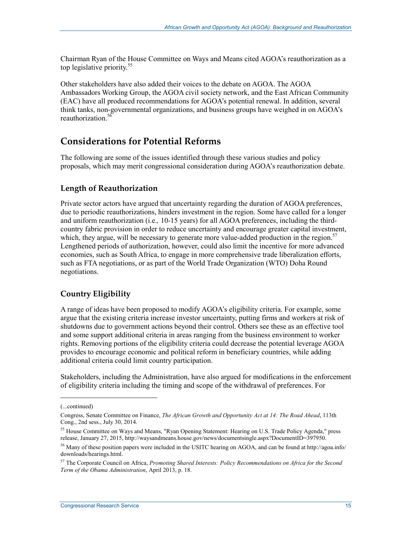Chairman Ryan of the House Committee on Ways and Means cited AGOA's reauthorization as a top legislative priority.<sup>55</sup>

Other stakeholders have also added their voices to the debate on AGOA. The AGOA Ambassadors Working Group, the AGOA civil society network, and the East African Community (EAC) have all produced recommendations for AGOA's potential renewal. In addition, several think tanks, non-governmental organizations, and business groups have weighed in on AGOA's reauthorization<sup>56</sup>

## **Considerations for Potential Reforms**

The following are some of the issues identified through these various studies and policy proposals, which may merit congressional consideration during AGOA's reauthorization debate.

### **Length of Reauthorization**

Private sector actors have argued that uncertainty regarding the duration of AGOA preferences, due to periodic reauthorizations, hinders investment in the region. Some have called for a longer and uniform reauthorization (i.e.*,* 10-15 years) for all AGOA preferences, including the thirdcountry fabric provision in order to reduce uncertainty and encourage greater capital investment, which, they argue, will be necessary to generate more value-added production in the region.<sup>57</sup> Lengthened periods of authorization, however, could also limit the incentive for more advanced economies, such as South Africa, to engage in more comprehensive trade liberalization efforts, such as FTA negotiations, or as part of the World Trade Organization (WTO) Doha Round negotiations.

## **Country Eligibility**

A range of ideas have been proposed to modify AGOA's eligibility criteria. For example, some argue that the existing criteria increase investor uncertainty, putting firms and workers at risk of shutdowns due to government actions beyond their control. Others see these as an effective tool and some support additional criteria in areas ranging from the business environment to worker rights. Removing portions of the eligibility criteria could decrease the potential leverage AGOA provides to encourage economic and political reform in beneficiary countries, while adding additional criteria could limit country participation.

Stakeholders, including the Administration, have also argued for modifications in the enforcement of eligibility criteria including the timing and scope of the withdrawal of preferences. For

 $\overline{a}$ 

<sup>(...</sup>continued)

Congress, Senate Committee on Finance, *The African Growth and Opportunity Act at 14: The Road Ahead*, 113th Cong., 2nd sess., July 30, 2014.

<sup>&</sup>lt;sup>55</sup> House Committee on Ways and Means, "Ryan Opening Statement: Hearing on U.S. Trade Policy Agenda," press release, January 27, 2015, http://waysandmeans.house.gov/news/documentsingle.aspx?DocumentID=397950.

<sup>56</sup> Many of these position papers were included in the USITC hearing on AGOA, and can be found at http://agoa.info/ downloads/hearings.html.

<sup>57</sup> The Corporate Council on Africa, *Promoting Shared Interests: Policy Recommendations on Africa for the Second Term of the Obama Administration*, April 2013, p. 18.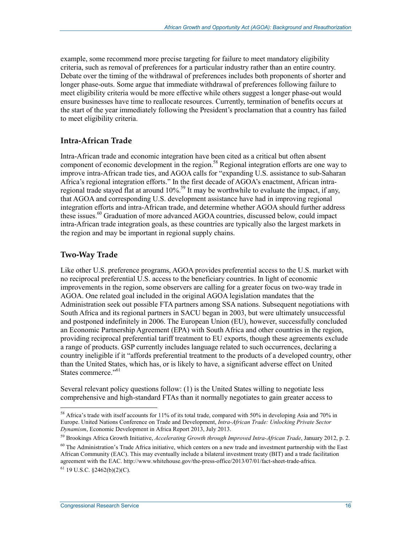example, some recommend more precise targeting for failure to meet mandatory eligibility criteria, such as removal of preferences for a particular industry rather than an entire country. Debate over the timing of the withdrawal of preferences includes both proponents of shorter and longer phase-outs. Some argue that immediate withdrawal of preferences following failure to meet eligibility criteria would be more effective while others suggest a longer phase-out would ensure businesses have time to reallocate resources. Currently, termination of benefits occurs at the start of the year immediately following the President's proclamation that a country has failed to meet eligibility criteria.

### **Intra-African Trade**

Intra-African trade and economic integration have been cited as a critical but often absent component of economic development in the region.<sup>58</sup> Regional integration efforts are one way to improve intra-African trade ties, and AGOA calls for "expanding U.S. assistance to sub-Saharan Africa's regional integration efforts." In the first decade of AGOA's enactment, African intraregional trade stayed flat at around 10%.<sup>59</sup> It may be worthwhile to evaluate the impact, if any, that AGOA and corresponding U.S. development assistance have had in improving regional integration efforts and intra-African trade, and determine whether AGOA should further address these issues.<sup>60</sup> Graduation of more advanced AGOA countries, discussed below, could impact intra-African trade integration goals, as these countries are typically also the largest markets in the region and may be important in regional supply chains.

### **Two-Way Trade**

Like other U.S. preference programs, AGOA provides preferential access to the U.S. market with no reciprocal preferential U.S. access to the beneficiary countries. In light of economic improvements in the region, some observers are calling for a greater focus on two-way trade in AGOA. One related goal included in the original AGOA legislation mandates that the Administration seek out possible FTA partners among SSA nations. Subsequent negotiations with South Africa and its regional partners in SACU began in 2003, but were ultimately unsuccessful and postponed indefinitely in 2006. The European Union (EU), however, successfully concluded an Economic Partnership Agreement (EPA) with South Africa and other countries in the region, providing reciprocal preferential tariff treatment to EU exports, though these agreements exclude a range of products. GSP currently includes language related to such occurrences, declaring a country ineligible if it "affords preferential treatment to the products of a developed country, other than the United States, which has, or is likely to have, a significant adverse effect on United States commerce."<sup>61</sup>

Several relevant policy questions follow: (1) is the United States willing to negotiate less comprehensive and high-standard FTAs than it normally negotiates to gain greater access to

<sup>1</sup> <sup>58</sup> Africa's trade with itself accounts for 11% of its total trade, compared with 50% in developing Asia and 70% in Europe. United Nations Conference on Trade and Development, *Intra-African Trade: Unlocking Private Sector Dynamism*, Economic Development in Africa Report 2013, July 2013.

<sup>59</sup> Brookings Africa Growth Initiative, *Accelerating Growth through Improved Intra-African Trade*, January 2012, p. 2.

 $60$  The Administration's Trade Africa initiative, which centers on a new trade and investment partnership with the East African Community (EAC). This may eventually include a bilateral investment treaty (BIT) and a trade facilitation agreement with the EAC. http://www.whitehouse.gov/the-press-office/2013/07/01/fact-sheet-trade-africa.

 $61$  19 U.S.C.  $$2462(b)(2)(C)$ .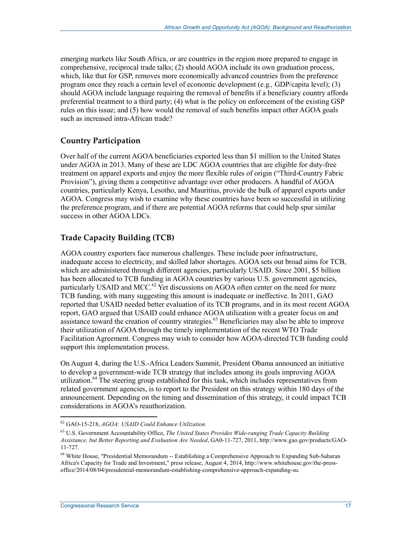emerging markets like South Africa, or are countries in the region more prepared to engage in comprehensive, reciprocal trade talks; (2) should AGOA include its own graduation process, which, like that for GSP, removes more economically advanced countries from the preference program once they reach a certain level of economic development (e.g.*,* GDP/capita level); (3) should AGOA include language requiring the removal of benefits if a beneficiary country affords preferential treatment to a third party; (4) what is the policy on enforcement of the existing GSP rules on this issue; and (5) how would the removal of such benefits impact other AGOA goals such as increased intra-African trade?

### **Country Participation**

Over half of the current AGOA beneficiaries exported less than \$1 million to the United States under AGOA in 2013. Many of these are LDC AGOA countries that are eligible for duty-free treatment on apparel exports and enjoy the more flexible rules of origin ("Third-Country Fabric Provision"), giving them a competitive advantage over other producers. A handful of AGOA countries, particularly Kenya, Lesotho, and Mauritius, provide the bulk of apparel exports under AGOA. Congress may wish to examine why these countries have been so successful in utilizing the preference program, and if there are potential AGOA reforms that could help spur similar success in other AGOA LDCs.

### **Trade Capacity Building (TCB)**

AGOA country exporters face numerous challenges. These include poor infrastructure, inadequate access to electricity, and skilled labor shortages. AGOA sets out broad aims for TCB, which are administered through different agencies, particularly USAID. Since 2001, \$5 billion has been allocated to TCB funding in AGOA countries by various U.S. government agencies, particularly USAID and MCC.<sup>62</sup> Yet discussions on AGOA often center on the need for more TCB funding, with many suggesting this amount is inadequate or ineffective. In 2011, GAO reported that USAID needed better evaluation of its TCB programs, and in its most recent AGOA report, GAO argued that USAID could enhance AGOA utilization with a greater focus on and assistance toward the creation of country strategies.<sup>63</sup> Beneficiaries may also be able to improve their utilization of AGOA through the timely implementation of the recent WTO Trade Facilitation Agreement. Congress may wish to consider how AGOA-directed TCB funding could support this implementation process.

On August 4, during the U.S.-Africa Leaders Summit, President Obama announced an initiative to develop a government-wide TCB strategy that includes among its goals improving AGOA utilization.<sup>64</sup> The steering group established for this task, which includes representatives from related government agencies, is to report to the President on this strategy within 180 days of the announcement. Depending on the timing and dissemination of this strategy, it could impact TCB considerations in AGOA's reauthorization.

<sup>62</sup> GAO-15-218, *AGOA: USAID Could Enhance Utilization.* 

<sup>63</sup> U.S. Government Accountability Office, *The United States Provides Wide-ranging Trade Capacity Building Assistance, but Better Reporting and Evaluation Are Needed*, GA0-11-727, 2011, http://www.gao.gov/products/GAO-11-727.

<sup>64</sup> White House, "Presidential Memorandum -- Establishing a Comprehensive Approach to Expanding Sub-Saharan Africa's Capacity for Trade and Investment," press release, August 4, 2014, http://www.whitehouse.gov/the-pressoffice/2014/08/04/presidential-memorandum-establishing-comprehensive-approach-expanding-su.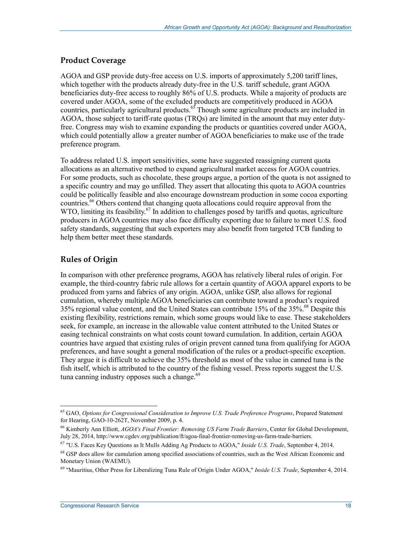### **Product Coverage**

AGOA and GSP provide duty-free access on U.S. imports of approximately 5,200 tariff lines, which together with the products already duty-free in the U.S. tariff schedule, grant AGOA beneficiaries duty-free access to roughly 86% of U.S. products. While a majority of products are covered under AGOA, some of the excluded products are competitively produced in AGOA countries, particularly agricultural products.<sup>65</sup> Though some agriculture products are included in AGOA, those subject to tariff-rate quotas (TRQs) are limited in the amount that may enter dutyfree. Congress may wish to examine expanding the products or quantities covered under AGOA, which could potentially allow a greater number of AGOA beneficiaries to make use of the trade preference program.

To address related U.S. import sensitivities, some have suggested reassigning current quota allocations as an alternative method to expand agricultural market access for AGOA countries. For some products, such as chocolate, these groups argue, a portion of the quota is not assigned to a specific country and may go unfilled. They assert that allocating this quota to AGOA countries could be politically feasible and also encourage downstream production in some cocoa exporting countries.<sup>66</sup> Others contend that changing quota allocations could require approval from the WTO, limiting its feasibility.<sup>67</sup> In addition to challenges posed by tariffs and quotas, agriculture producers in AGOA countries may also face difficulty exporting due to failure to meet U.S. food safety standards, suggesting that such exporters may also benefit from targeted TCB funding to help them better meet these standards.

## **Rules of Origin**

1

In comparison with other preference programs, AGOA has relatively liberal rules of origin. For example, the third-country fabric rule allows for a certain quantity of AGOA apparel exports to be produced from yarns and fabrics of any origin. AGOA, unlike GSP, also allows for regional cumulation, whereby multiple AGOA beneficiaries can contribute toward a product's required 35% regional value content, and the United States can contribute 15% of the  $35\%$ .<sup>68</sup> Despite this existing flexibility, restrictions remain, which some groups would like to ease. These stakeholders seek, for example, an increase in the allowable value content attributed to the United States or easing technical constraints on what costs count toward cumulation. In addition, certain AGOA countries have argued that existing rules of origin prevent canned tuna from qualifying for AGOA preferences, and have sought a general modification of the rules or a product-specific exception. They argue it is difficult to achieve the 35% threshold as most of the value in canned tuna is the fish itself, which is attributed to the country of the fishing vessel. Press reports suggest the U.S. tuna canning industry opposes such a change.<sup>69</sup>

<sup>65</sup> GAO, *Options for Congressional Consideration to Improve U.S. Trade Preference Programs*, Prepared Statement for Hearing, GAO-10-262T, November 2009, p. 4.

<sup>66</sup> Kimberly Ann Elliott, *AGOA's Final Frontier: Removing US Farm Trade Barriers*, Center for Global Development, July 28, 2014, http://www.cgdev.org/publication/ft/agoa-final-frontier-removing-us-farm-trade-barriers.

<sup>67 &</sup>quot;U.S. Faces Key Questions as It Mulls Adding Ag Products to AGOA," *Inside U.S. Trade*, September 4, 2014.

<sup>&</sup>lt;sup>68</sup> GSP does allow for cumulation among specified associations of countries, such as the West African Economic and Monetary Union (WAEMU).

<sup>69 &</sup>quot;Mauritius, Other Press for Liberalizing Tuna Rule of Origin Under AGOA," *Inside U.S. Trade*, September 4, 2014.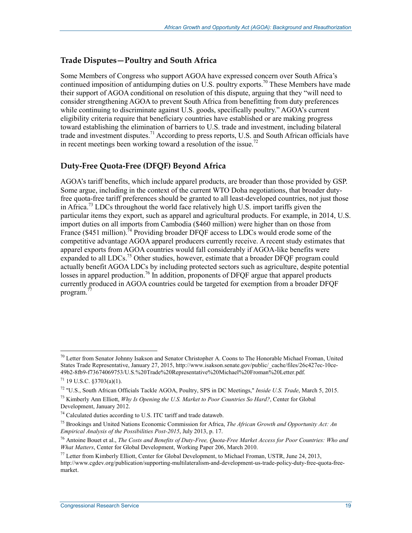### **Trade Disputes—Poultry and South Africa**

Some Members of Congress who support AGOA have expressed concern over South Africa's continued imposition of antidumping duties on U.S. poultry exports.<sup>70</sup> These Members have made their support of AGOA conditional on resolution of this dispute, arguing that they "will need to consider strengthening AGOA to prevent South Africa from benefitting from duty preferences while continuing to discriminate against U.S. goods, specifically poultry." AGOA's current eligibility criteria require that beneficiary countries have established or are making progress toward establishing the elimination of barriers to U.S. trade and investment, including bilateral trade and investment disputes.<sup>71</sup> According to press reports, U.S. and South African officials have in recent meetings been working toward a resolution of the issue.<sup>72</sup>

### **Duty-Free Quota-Free (DFQF) Beyond Africa**

AGOA's tariff benefits, which include apparel products, are broader than those provided by GSP. Some argue, including in the context of the current WTO Doha negotiations, that broader dutyfree quota-free tariff preferences should be granted to all least-developed countries, not just those in Africa.<sup>73</sup> LDCs throughout the world face relatively high U.S. import tariffs given the particular items they export, such as apparel and agricultural products. For example, in 2014, U.S. import duties on all imports from Cambodia (\$460 million) were higher than on those from France (\$451 million).<sup>74</sup> Providing broader DFQF access to LDCs would erode some of the competitive advantage AGOA apparel producers currently receive. A recent study estimates that apparel exports from AGOA countries would fall considerably if AGOA-like benefits were expanded to all LDCs.<sup>75</sup> Other studies, however, estimate that a broader DFQF program could actually benefit AGOA LDCs by including protected sectors such as agriculture, despite potential losses in apparel production.<sup>76</sup> In addition, proponents of DFQF argue that apparel products currently produced in AGOA countries could be targeted for exemption from a broader DFQF program.<sup>7</sup>

 $70$  Letter from Senator Johnny Isakson and Senator Christopher A. Coons to The Honorable Michael Froman, United States Trade Representative, January 27, 2015, http://www.isakson.senate.gov/public/\_cache/files/26c427ec-10ce-49b2-8fb9-f73674069753/U.S.%20Trade%20Representative%20Michael%20Froman%20Letter.pdf.

 $71$  19 U.S.C. §3703(a)(1).

<sup>72 &</sup>quot;U.S., South African Officials Tackle AGOA, Poultry, SPS in DC Meetings," *Inside U.S. Trade*, March 5, 2015.

<sup>73</sup> Kimberly Ann Elliott, *Why Is Opening the U.S. Market to Poor Countries So Hard?*, Center for Global Development, January 2012.

<sup>74</sup> Calculated duties according to U.S. ITC tariff and trade dataweb.

<sup>75</sup> Brookings and United Nations Economic Commission for Africa, *The African Growth and Opportunity Act: An Empirical Analysis of the Possibilities Post-2015*, July 2013, p. 17.

<sup>76</sup> Antoine Bouet et al., *The Costs and Benefits of Duty-Free, Quota-Free Market Access for Poor Countries: Who and What Matters*, Center for Global Development, Working Paper 206, March 2010.

<sup>77</sup> Letter from Kimberly Elliott, Center for Global Development, to Michael Froman, USTR, June 24, 2013, http://www.cgdev.org/publication/supporting-multilateralism-and-development-us-trade-policy-duty-free-quota-freemarket.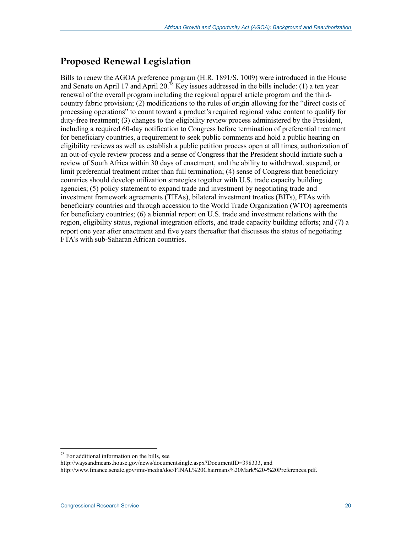## **Proposed Renewal Legislation**

Bills to renew the AGOA preference program (H.R. 1891/S. 1009) were introduced in the House and Senate on April 17 and April 20.<sup>78</sup> Key issues addressed in the bills include: (1) a ten year renewal of the overall program including the regional apparel article program and the thirdcountry fabric provision; (2) modifications to the rules of origin allowing for the "direct costs of processing operations" to count toward a product's required regional value content to qualify for duty-free treatment; (3) changes to the eligibility review process administered by the President, including a required 60-day notification to Congress before termination of preferential treatment for beneficiary countries, a requirement to seek public comments and hold a public hearing on eligibility reviews as well as establish a public petition process open at all times, authorization of an out-of-cycle review process and a sense of Congress that the President should initiate such a review of South Africa within 30 days of enactment, and the ability to withdrawal, suspend, or limit preferential treatment rather than full termination; (4) sense of Congress that beneficiary countries should develop utilization strategies together with U.S. trade capacity building agencies; (5) policy statement to expand trade and investment by negotiating trade and investment framework agreements (TIFAs), bilateral investment treaties (BITs), FTAs with beneficiary countries and through accession to the World Trade Organization (WTO) agreements for beneficiary countries; (6) a biennial report on U.S. trade and investment relations with the region, eligibility status, regional integration efforts, and trade capacity building efforts; and (7) a report one year after enactment and five years thereafter that discusses the status of negotiating FTA's with sub-Saharan African countries.

<sup>78</sup> For additional information on the bills, see

http://waysandmeans.house.gov/news/documentsingle.aspx?DocumentID=398333, and

http://www.finance.senate.gov/imo/media/doc/FINAL%20Chairmans%20Mark%20-%20Preferences.pdf.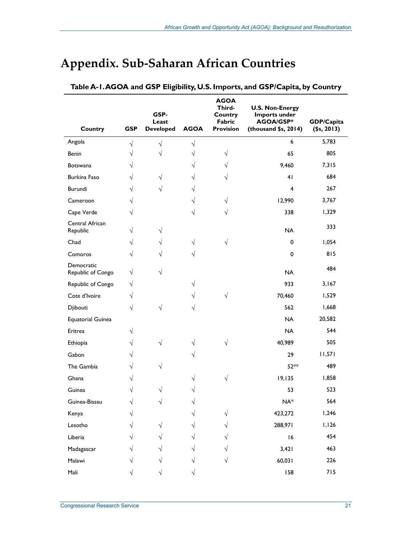| Country                         | <b>GSP</b> | GSP-<br>Least<br><b>Developed</b> | <b>AGOA</b> | <b>AGOA</b><br>Third-<br>Country<br>Fabric<br><b>Provision</b> | <b>U.S. Non-Energy</b><br>Imports under<br>AGOA/GSP*<br>(thousand \$s, 2014) | <b>GDP/Capita</b><br>(\$s, 2013) |
|---------------------------------|------------|-----------------------------------|-------------|----------------------------------------------------------------|------------------------------------------------------------------------------|----------------------------------|
| Angola                          | $\sqrt{}$  | $\sqrt{}$                         | $\sqrt{}$   |                                                                | 6                                                                            | 5,783                            |
| Benin                           | V          | V                                 | V           | $\sqrt{ }$                                                     | 65                                                                           | 805                              |
| <b>Botswana</b>                 | V          |                                   | V           | $\sqrt{}$                                                      | 9,460                                                                        | 7,315                            |
| Burkina Faso                    | V          | √                                 | V           | V                                                              | 4 <sub>1</sub>                                                               | 684                              |
| Burundi                         | $\sqrt{}$  | V                                 | V           |                                                                | $\overline{4}$                                                               | 267                              |
| Cameroon                        | V          |                                   | V           | $\sqrt{ }$                                                     | 12,990                                                                       | 3,767                            |
| Cape Verde                      | V          |                                   | V           | V                                                              | 338                                                                          | 1,329                            |
| Central African<br>Republic     | V          | V                                 |             |                                                                | <b>NA</b>                                                                    | 333                              |
| Chad                            | V          | V                                 | $\sqrt{}$   | √                                                              | 0                                                                            | 1,054                            |
| Comoros                         | √          | V                                 | V           |                                                                | 0                                                                            | 815                              |
| Democratic<br>Republic of Congo | √          | √                                 |             |                                                                | <b>NA</b>                                                                    | 484                              |
| Republic of Congo               | V          |                                   | V           |                                                                | 933                                                                          | 3,167                            |
| Cote d'Ivoire                   | √          |                                   | V           | $\sqrt{ }$                                                     | 70,460                                                                       | 1,529                            |
| Djibouti                        | V          |                                   | V           |                                                                | 562                                                                          | 1,668                            |
| <b>Equatorial Guinea</b>        |            |                                   |             |                                                                | <b>NA</b>                                                                    | 20,582                           |
| Eritrea                         |            |                                   |             |                                                                | <b>NA</b>                                                                    | 544                              |
| Ethiopia                        | V          | $\sqrt{}$                         | V           | $\sqrt{ }$                                                     | 40,989                                                                       | 505                              |
| Gabon                           |            |                                   |             |                                                                | 29                                                                           | 11,571                           |
| The Gambia                      | V          | $\sqrt{}$                         |             |                                                                | 52**                                                                         | 489                              |
| Ghana                           |            |                                   | V           |                                                                | 19,135                                                                       | 1,858                            |
| Guinea                          | V          |                                   | ٦           |                                                                | 53                                                                           | 523                              |
| Guinea-Bissau                   |            |                                   |             |                                                                | $NA^*$                                                                       | 564                              |
| Kenya                           |            |                                   |             | V                                                              | 423,272                                                                      | 1,246                            |
| Lesotho                         |            |                                   | V           |                                                                | 288,971                                                                      | I, I26                           |
| Liberia                         |            |                                   |             |                                                                | 16                                                                           | 454                              |
| Madagascar                      |            |                                   |             |                                                                | 3,421                                                                        | 463                              |
| Malawi                          |            |                                   |             |                                                                | 60,031                                                                       | 226                              |
| Mali                            |            |                                   |             |                                                                | 158                                                                          | 715                              |

# **Appendix. Sub-Saharan African Countries**

**Table A-1. AGOA and GSP Eligibility, U.S. Imports, and GSP/Capita, by Country**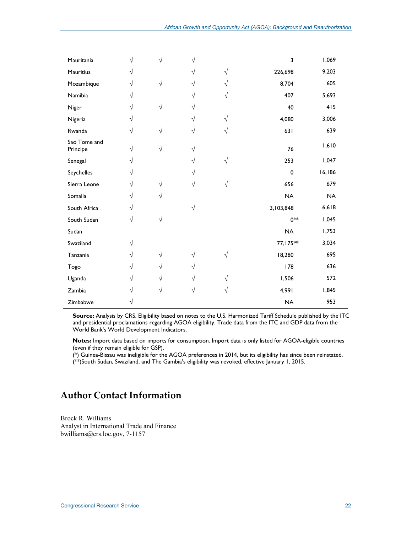| Mauritania               |   | V | V          |           | 3         | 1,069     |
|--------------------------|---|---|------------|-----------|-----------|-----------|
| Mauritius                |   |   | V          | $\sqrt{}$ | 226,698   | 9,203     |
| Mozambique               | V | V |            | V         | 8,704     | 605       |
| Namibia                  |   |   | V          | V         | 407       | 5,693     |
| Niger                    | V | V | V          |           | 40        | 415       |
| Nigeria                  |   |   | V          | V         | 4,080     | 3,006     |
| Rwanda                   | V |   | V          | V         | 631       | 639       |
| Sao Tome and<br>Principe | V | V | V          |           | 76        | 1,610     |
| Senegal                  | V |   | V          | $\sqrt{}$ | 253       | 1,047     |
| Seychelles               | V |   |            |           | 0         | 16,186    |
| Sierra Leone             | V |   | V          | $\sqrt{}$ | 656       | 679       |
| Somalia                  |   |   |            |           | <b>NA</b> | <b>NA</b> |
| South Africa             | V |   | $\sqrt{ }$ |           | 3,103,848 | 6,618     |
| South Sudan              | V | V |            |           | $0**$     | 1,045     |
| Sudan                    |   |   |            |           | <b>NA</b> | 1,753     |
| Swaziland                |   |   |            |           | 77,175**  | 3,034     |
| Tanzania                 |   | V | V          | V         | 18,280    | 695       |
| Togo                     | V | V | V          |           | 178       | 636       |
| Uganda                   |   | V | V          | V         | 1,506     | 572       |
| Zambia                   |   |   |            | V         | 4,991     | 1,845     |
| Zimbabwe                 |   |   |            |           | <b>NA</b> | 953       |

**Source:** Analysis by CRS. Eligibility based on notes to the U.S. Harmonized Tariff Schedule published by the ITC and presidential proclamations regarding AGOA eligibility. Trade data from the ITC and GDP data from the World Bank's World Development Indicators.

**Notes:** Import data based on imports for consumption. Import data is only listed for AGOA-eligible countries (even if they remain eligible for GSP).

(\*) Guinea-Bissau was ineligible for the AGOA preferences in 2014, but its eligibility has since been reinstated. (\*\*)South Sudan, Swaziland, and The Gambia's eligibility was revoked, effective January 1, 2015.

## **Author Contact Information**

Brock R. Williams Analyst in International Trade and Finance bwilliams@crs.loc.gov, 7-1157